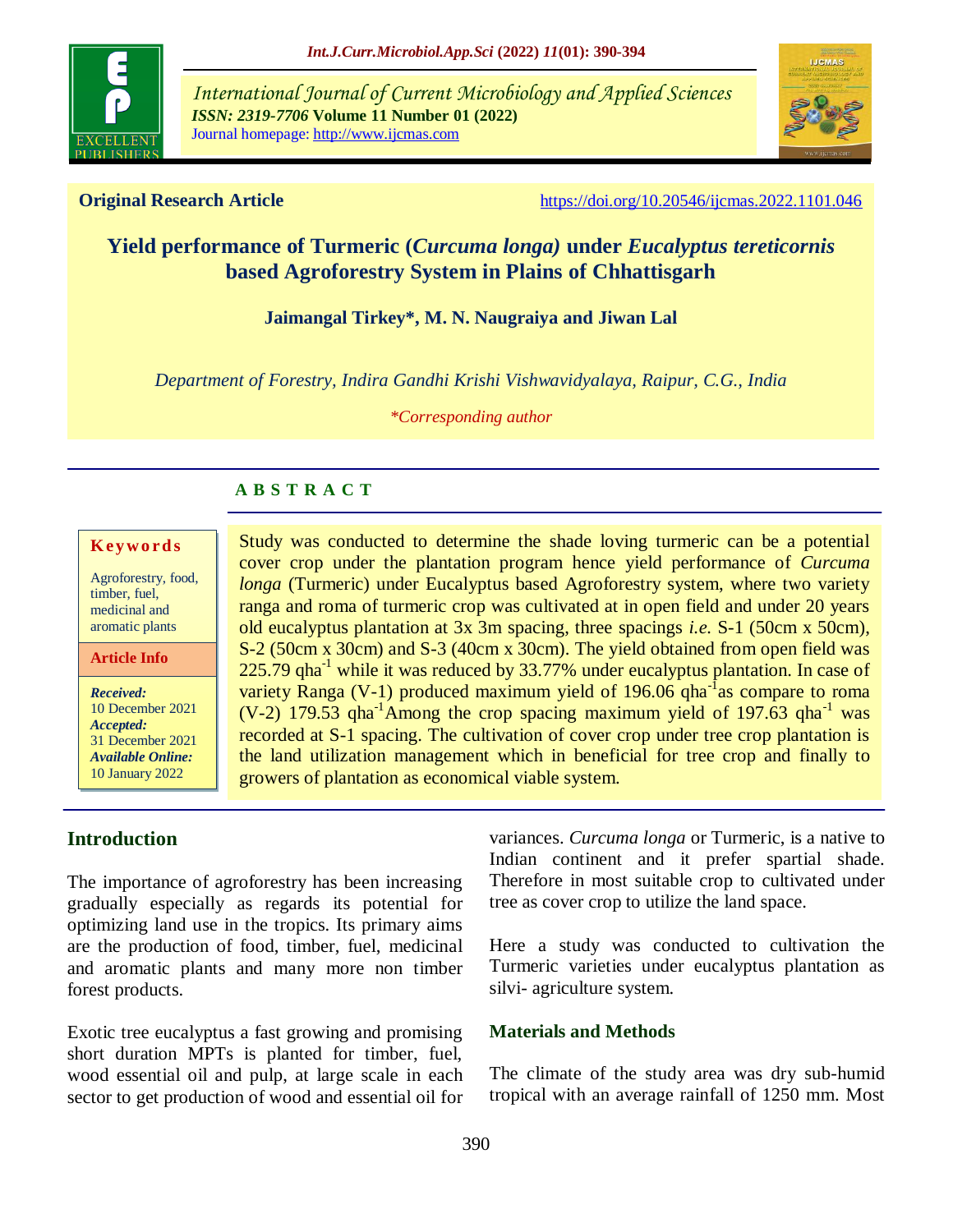

*International Journal of Current Microbiology and Applied Sciences ISSN: 2319-7706* **Volume 11 Number 01 (2022)**  Journal homepage: http://www.ijcmas.com



**Original Research Article** <https://doi.org/10.20546/ijcmas.2022.1101.046>

# **Yield performance of Turmeric (***Curcuma longa)* **under** *Eucalyptus tereticornis* **based Agroforestry System in Plains of Chhattisgarh**

**Jaimangal Tirkey\*, M. N. Naugraiya and Jiwan Lal**

*Department of Forestry, Indira Gandhi Krishi Vishwavidyalaya, Raipur, C.G., India*

*\*Corresponding author*

## **A B S T R A C T**

#### **K ey w o rd s**

Agroforestry, food, timber, fuel, medicinal and aromatic plants

**Article Info**

*Received:*  10 December 2021 *Accepted:*  31 December 2021 *Available Online:* 10 January 2022

## **Introduction**

The importance of agroforestry has been increasing gradually especially as regards its potential for optimizing land use in the tropics. Its primary aims are the production of food, timber, fuel, medicinal and aromatic plants and many more non timber forest products.

Exotic tree eucalyptus a fast growing and promising short duration MPTs is planted for timber, fuel, wood essential oil and pulp, at large scale in each sector to get production of wood and essential oil for

Study was conducted to determine the shade loving turmeric can be a potential cover crop under the plantation program hence yield performance of *Curcuma longa* (Turmeric) under Eucalyptus based Agroforestry system, where two variety ranga and roma of turmeric crop was cultivated at in open field and under 20 years old eucalyptus plantation at 3x 3m spacing, three spacings *i.e.* S-1 (50cm x 50cm), S-2 (50cm x 30cm) and S-3 (40cm x 30cm). The yield obtained from open field was  $225.79$  qha<sup>-1</sup> while it was reduced by  $33.77\%$  under eucalyptus plantation. In case of variety Ranga (V-1) produced maximum yield of 196.06  $qha^{-1}$  as compare to roma  $(V-2)$  179.53 qha<sup>-1</sup>Among the crop spacing maximum yield of 197.63 qha<sup>-1</sup> was recorded at S-1 spacing. The cultivation of cover crop under tree crop plantation is the land utilization management which in beneficial for tree crop and finally to growers of plantation as economical viable system.

> variances. *Curcuma longa* or Turmeric, is a native to Indian continent and it prefer spartial shade. Therefore in most suitable crop to cultivated under tree as cover crop to utilize the land space.

> Here a study was conducted to cultivation the Turmeric varieties under eucalyptus plantation as silvi- agriculture system.

### **Materials and Methods**

The climate of the study area was dry sub-humid tropical with an average rainfall of 1250 mm. Most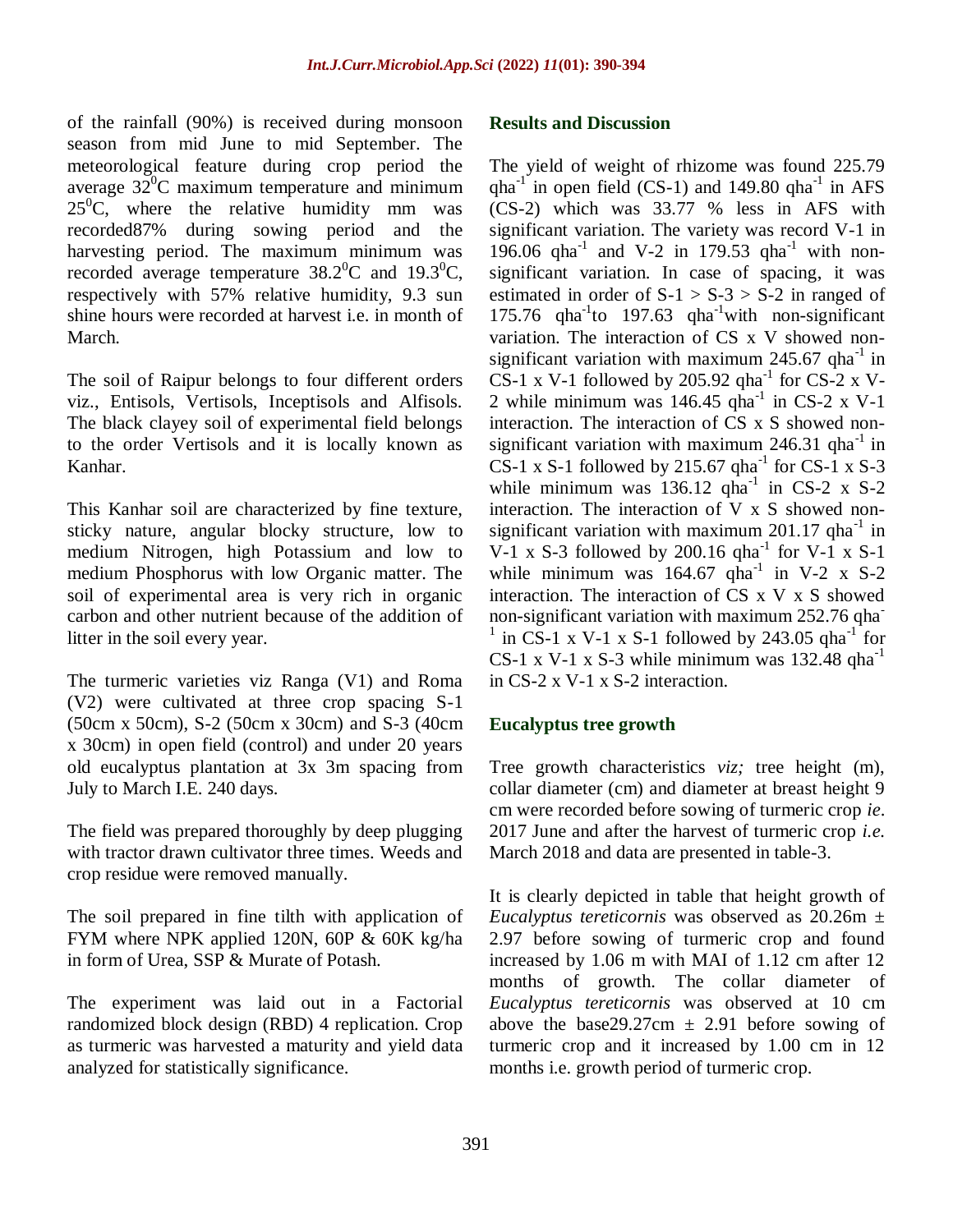of the rainfall (90%) is received during monsoon season from mid June to mid September. The meteorological feature during crop period the average  $32^0$ C maximum temperature and minimum  $25^{\circ}$ C, where the relative humidity mm was recorded87% during sowing period and the harvesting period. The maximum minimum was recorded average temperature  $38.2^{\circ}$ C and  $19.3^{\circ}$ C, respectively with 57% relative humidity, 9.3 sun shine hours were recorded at harvest i.e. in month of March.

The soil of Raipur belongs to four different orders viz., Entisols, Vertisols, Inceptisols and Alfisols. The black clayey soil of experimental field belongs to the order Vertisols and it is locally known as Kanhar.

This Kanhar soil are characterized by fine texture, sticky nature, angular blocky structure, low to medium Nitrogen, high Potassium and low to medium Phosphorus with low Organic matter. The soil of experimental area is very rich in organic carbon and other nutrient because of the addition of litter in the soil every year.

The turmeric varieties viz Ranga (V1) and Roma (V2) were cultivated at three crop spacing S-1 (50cm x 50cm), S-2 (50cm x 30cm) and S-3 (40cm x 30cm) in open field (control) and under 20 years old eucalyptus plantation at 3x 3m spacing from July to March I.E. 240 days.

The field was prepared thoroughly by deep plugging with tractor drawn cultivator three times. Weeds and crop residue were removed manually.

The soil prepared in fine tilth with application of FYM where NPK applied 120N, 60P & 60K kg/ha in form of Urea, SSP & Murate of Potash.

The experiment was laid out in a Factorial randomized block design (RBD) 4 replication. Crop as turmeric was harvested a maturity and yield data analyzed for statistically significance.

#### **Results and Discussion**

The yield of weight of rhizome was found 225.79 qha<sup>-1</sup> in open field (CS-1) and 149.80 qha<sup>-1</sup> in AFS (CS-2) which was 33.77 % less in AFS with significant variation. The variety was record V-1 in 196.06 qha<sup>-1</sup> and V-2 in 179.53 qha<sup>-1</sup> with nonsignificant variation. In case of spacing, it was estimated in order of  $S-1 > S-3 > S-2$  in ranged of 175.76  $qha^{-1}to$  197.63  $qha^{-1}with$  non-significant variation. The interaction of CS x V showed nonsignificant variation with maximum  $245.67$  qha<sup>-1</sup> in CS-1 x V-1 followed by 205.92 qha<sup>-1</sup> for CS-2 x V-2 while minimum was  $146.45$  qha<sup>-1</sup> in CS-2 x V-1 interaction. The interaction of CS x S showed nonsignificant variation with maximum  $246.31$  qha<sup>-1</sup> in CS-1 x S-1 followed by 215.67 qha $^{-1}$  for CS-1 x S-3 while minimum was  $136.12$  qha<sup>-1</sup> in CS-2 x S-2 interaction. The interaction of V x S showed nonsignificant variation with maximum  $201.17$  qha<sup>-1</sup> in V-1 x S-3 followed by 200.16 qha<sup>-1</sup> for V-1 x S-1 while minimum was  $164.67$  qha<sup>-1</sup> in V-2 x S-2 interaction. The interaction of CS x V x S showed non-significant variation with maximum 252.76 qha-<sup>1</sup> in CS-1 x V-1 x S-1 followed by 243.05 qha<sup>-1</sup> for CS-1 x V-1 x S-3 while minimum was  $132.48$  qha<sup>-1</sup> in CS-2 x V-1 x S-2 interaction.

### **Eucalyptus tree growth**

Tree growth characteristics *viz;* tree height (m), collar diameter (cm) and diameter at breast height 9 cm were recorded before sowing of turmeric crop *ie*. 2017 June and after the harvest of turmeric crop *i.e.* March 2018 and data are presented in table-3.

It is clearly depicted in table that height growth of *Eucalyptus tereticornis* was observed as 20.26m ± 2.97 before sowing of turmeric crop and found increased by 1.06 m with MAI of 1.12 cm after 12 months of growth. The collar diameter of *Eucalyptus tereticornis* was observed at 10 cm above the base 29.27cm  $\pm$  2.91 before sowing of turmeric crop and it increased by 1.00 cm in 12 months i.e. growth period of turmeric crop.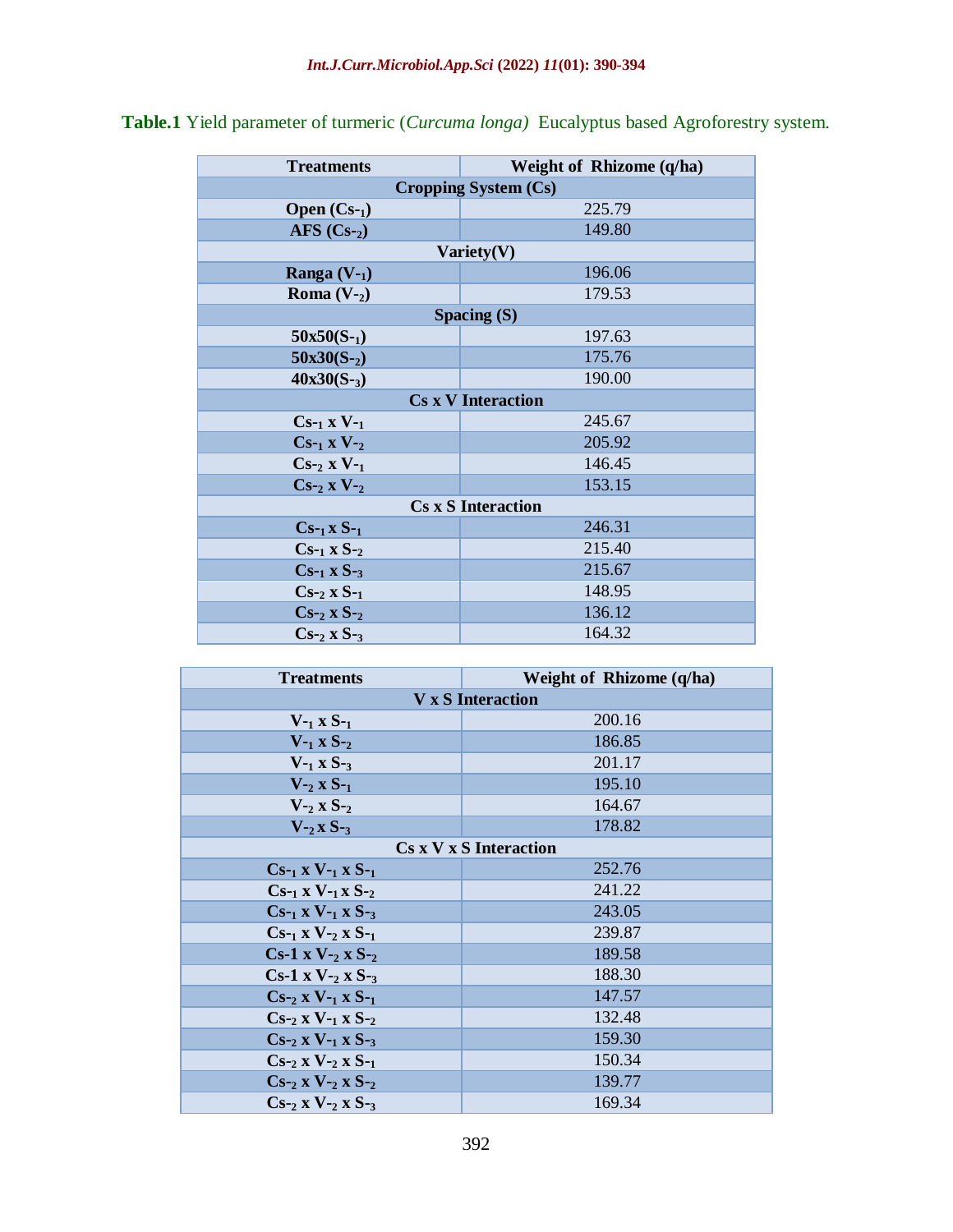| <b>Treatments</b>           | Weight of Rhizome (q/ha) |  |  |  |  |  |
|-----------------------------|--------------------------|--|--|--|--|--|
| <b>Cropping System (Cs)</b> |                          |  |  |  |  |  |
| Open $(Cs-1)$               | 225.79                   |  |  |  |  |  |
| $AFS (Cs-2)$                | 149.80                   |  |  |  |  |  |
| $\text{Variety}(V)$         |                          |  |  |  |  |  |
| Ranga $(V-1)$               | 196.06                   |  |  |  |  |  |
| Roma $(V_{-2})$             | 179.53                   |  |  |  |  |  |
| Spacing $(S)$               |                          |  |  |  |  |  |
| $50x50(S-1)$                | 197.63                   |  |  |  |  |  |
| $50x30(S_{-2})$             | 175.76                   |  |  |  |  |  |
| $40x30(S_{-3})$             | 190.00                   |  |  |  |  |  |
| <b>Cs x V Interaction</b>   |                          |  |  |  |  |  |
| $Cs_{1}$ x $V_{-1}$         | 245.67                   |  |  |  |  |  |
| $Cs_{1}$ x $V_{2}$          | 205.92                   |  |  |  |  |  |
| $Cs_{2}$ x $V_{-1}$         | 146.45                   |  |  |  |  |  |
| $Cs_{2}$ x $V_{-2}$         | 153.15                   |  |  |  |  |  |
| <b>Cs x S Interaction</b>   |                          |  |  |  |  |  |
| $Cs -_1XS -_1$              | 246.31                   |  |  |  |  |  |
| $Cs_{1}$ x $S_{2}$          | 215.40                   |  |  |  |  |  |
| $Cs_{-1} \times S_{-3}$     | 215.67                   |  |  |  |  |  |
| $Cs_{2}$ x $S_{-1}$         | 148.95                   |  |  |  |  |  |
| $Cs_{2}$ x $S_{2}$          | 136.12                   |  |  |  |  |  |
| $Cs_{2}$ x $S_{-3}$         | 164.32                   |  |  |  |  |  |

**Table.1** Yield parameter of turmeric (*Curcuma longa)* Eucalyptus based Agroforestry system.

| <b>Treatments</b>                  | Weight of Rhizome (q/ha) |  |  |  |  |  |
|------------------------------------|--------------------------|--|--|--|--|--|
| <b>V</b> x S Interaction           |                          |  |  |  |  |  |
| $V_{-1}$ x $S_{-1}$                | 200.16                   |  |  |  |  |  |
| $V_{-1}$ x $S_{-2}$                | 186.85                   |  |  |  |  |  |
| $V_{-1}$ x S-3                     | 201.17                   |  |  |  |  |  |
| $V_{-2}$ x $S_{-1}$                | 195.10                   |  |  |  |  |  |
| $V_{-2}$ x $S_{-2}$                | 164.67                   |  |  |  |  |  |
| $V_{-2}X S_{-3}$                   | 178.82                   |  |  |  |  |  |
| $Cs \times V \times S$ Interaction |                          |  |  |  |  |  |
| $Cs_{-1}$ x V $-1$ x S $-1$        | 252.76                   |  |  |  |  |  |
| $Cs_{-1}$ x $V_{-1}$ x $S_{-2}$    | 241.22                   |  |  |  |  |  |
| $Cs_{-1}$ x $V_{-1}$ x $S_{-3}$    | 243.05                   |  |  |  |  |  |
| $Cs_{-1}$ x $V_{-2}$ x $S_{-1}$    | 239.87                   |  |  |  |  |  |
| $Cs-1 \times V-2 \times S-2$       | 189.58                   |  |  |  |  |  |
| $Cs-1 \times V-2 \times S-3$       | 188.30                   |  |  |  |  |  |
| $Cs_{2}$ x V-1 x S-1               | 147.57                   |  |  |  |  |  |
| $Cs_{2}$ x V-1 x S-2               | 132.48                   |  |  |  |  |  |
| $Cs_{2}$ x V-1 x S-3               | 159.30                   |  |  |  |  |  |
| $Cs_{2}$ x $V_{2}$ x $S_{1}$       | 150.34                   |  |  |  |  |  |
| $Cs_{2}$ x $V_{-2}$ x $S_{-2}$     | 139.77                   |  |  |  |  |  |
| $Cs_{2}$ x $V_{2}$ x $S_{3}$       | 169.34                   |  |  |  |  |  |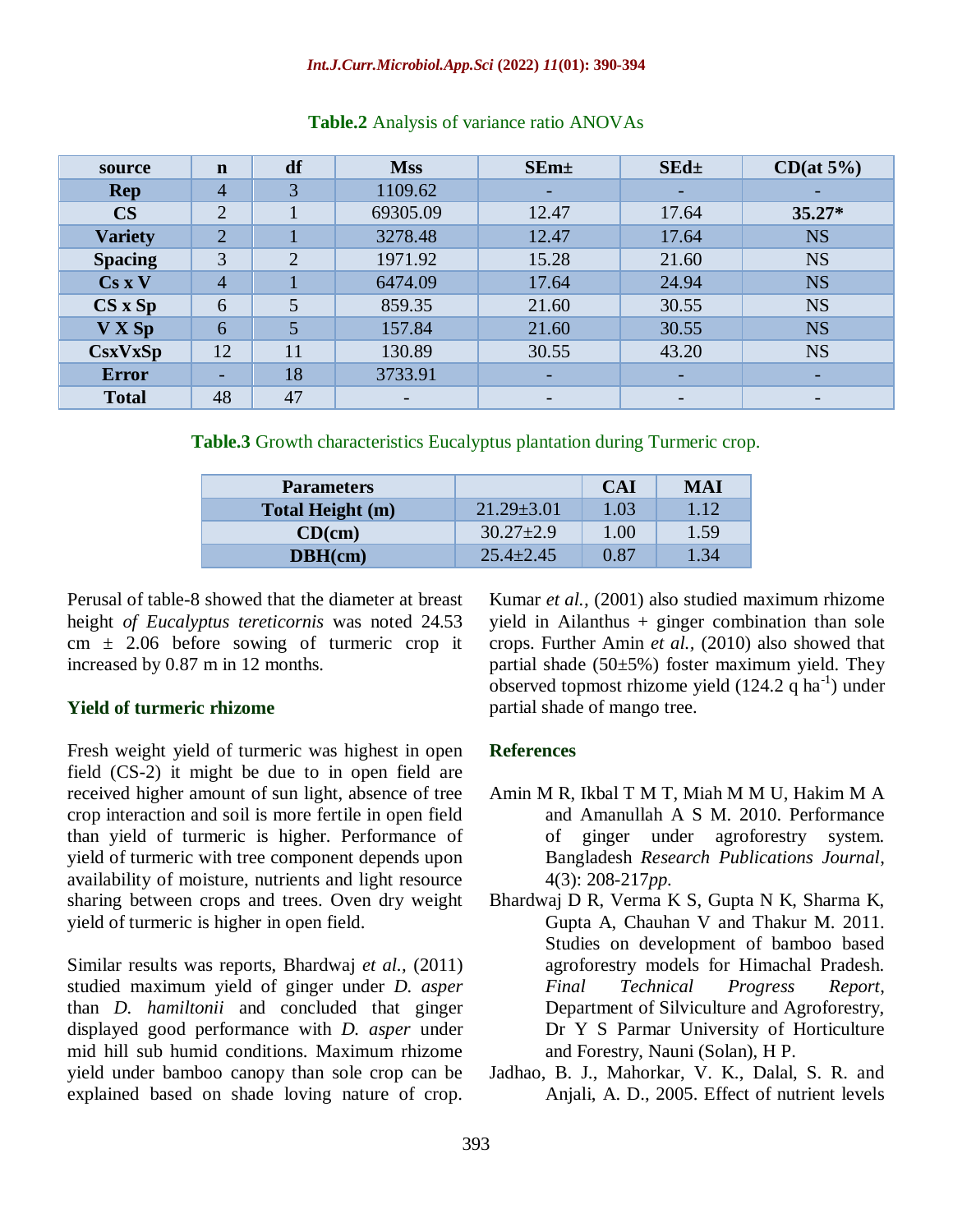| source         | $\mathbf n$    | df             | <b>Mss</b> | $SEm+$ | $SEd+$ | $CD(at 5\%)$ |
|----------------|----------------|----------------|------------|--------|--------|--------------|
| <b>Rep</b>     | $\overline{4}$ | 3              | 1109.62    |        |        |              |
| CS             | $\overline{2}$ |                | 69305.09   | 12.47  | 17.64  | $35.27*$     |
| <b>Variety</b> | $\overline{2}$ |                | 3278.48    | 12.47  | 17.64  | <b>NS</b>    |
| <b>Spacing</b> | 3              | $\overline{2}$ | 1971.92    | 15.28  | 21.60  | <b>NS</b>    |
| Cs X V         | $\overline{4}$ |                | 6474.09    | 17.64  | 24.94  | <b>NS</b>    |
| $CS \times Sp$ | 6              | 5              | 859.35     | 21.60  | 30.55  | <b>NS</b>    |
| V X Sp         | 6              | 5              | 157.84     | 21.60  | 30.55  | <b>NS</b>    |
| <b>CsxVxSp</b> | 12             | 11             | 130.89     | 30.55  | 43.20  | <b>NS</b>    |
| <b>Error</b>   | -              | 18             | 3733.91    |        |        |              |
| <b>Total</b>   | 48             | 47             |            | -      |        |              |

## **Table.2** Analysis of variance ratio ANOVAs

**Table.3** Growth characteristics Eucalyptus plantation during Turmeric crop.

| <b>Parameters</b> |                  | CAI  | <b>MAI</b> |
|-------------------|------------------|------|------------|
| Total Height (m)  | $21.29 \pm 3.01$ | 1.03 | 1.12       |
| CD(cm)            | $30.27 + 2.9$    | 1.00 | 1.59       |
| DBH(cm)           | $25.4 + 2.45$    | 0.87 | 1.34       |

Perusal of table-8 showed that the diameter at breast height *of Eucalyptus tereticornis* was noted 24.53 cm  $\pm$  2.06 before sowing of turmeric crop it increased by 0.87 m in 12 months.

# **Yield of turmeric rhizome**

Fresh weight yield of turmeric was highest in open field (CS-2) it might be due to in open field are received higher amount of sun light, absence of tree crop interaction and soil is more fertile in open field than yield of turmeric is higher. Performance of yield of turmeric with tree component depends upon availability of moisture, nutrients and light resource sharing between crops and trees. Oven dry weight yield of turmeric is higher in open field.

Similar results was reports, Bhardwaj *et al.,* (2011) studied maximum yield of ginger under *D. asper* than *D. hamiltonii* and concluded that ginger displayed good performance with *D. asper* under mid hill sub humid conditions. Maximum rhizome yield under bamboo canopy than sole crop can be explained based on shade loving nature of crop.

Kumar *et al.,* (2001) also studied maximum rhizome yield in Ailanthus  $+$  ginger combination than sole crops. Further Amin *et al.,* (2010) also showed that partial shade  $(50±5%)$  foster maximum yield. They observed topmost rhizome yield  $(124.2 \text{ q ha}^{-1})$  under partial shade of mango tree.

# **References**

- Amin M R, Ikbal T M T, Miah M M U, Hakim M A and Amanullah A S M. 2010. Performance of ginger under agroforestry system. Bangladesh *Research Publications Journal*, 4(3): 208-217*pp.*
- Bhardwaj D R, Verma K S, Gupta N K, Sharma K, Gupta A, Chauhan V and Thakur M. 2011. Studies on development of bamboo based agroforestry models for Himachal Pradesh. *Final Technical Progress Report*, Department of Silviculture and Agroforestry, Dr Y S Parmar University of Horticulture and Forestry, Nauni (Solan), H P.
- Jadhao, B. J., Mahorkar, V. K., Dalal, S. R. and Anjali, A. D., 2005. Effect of nutrient levels